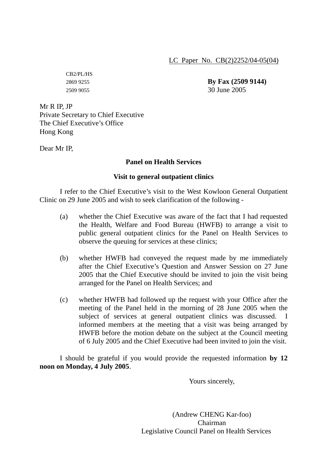LC Paper No. CB(2)2252/04-05(04)

CB2/PL/HS

 2869 9255 **By Fax (2509 9144)** 2509 9055 30 June 2005

Mr R IP, JP Private Secretary to Chief Executive The Chief Executive's Office Hong Kong

Dear Mr IP,

## **Panel on Health Services**

## **Visit to general outpatient clinics**

 I refer to the Chief Executive's visit to the West Kowloon General Outpatient Clinic on 29 June 2005 and wish to seek clarification of the following -

- (a) whether the Chief Executive was aware of the fact that I had requested the Health, Welfare and Food Bureau (HWFB) to arrange a visit to public general outpatient clinics for the Panel on Health Services to observe the queuing for services at these clinics;
- (b) whether HWFB had conveyed the request made by me immediately after the Chief Executive's Question and Answer Session on 27 June 2005 that the Chief Executive should be invited to join the visit being arranged for the Panel on Health Services; and
- (c) whether HWFB had followed up the request with your Office after the meeting of the Panel held in the morning of 28 June 2005 when the subject of services at general outpatient clinics was discussed. informed members at the meeting that a visit was being arranged by HWFB before the motion debate on the subject at the Council meeting of 6 July 2005 and the Chief Executive had been invited to join the visit.

 I should be grateful if you would provide the requested information **by 12 noon on Monday, 4 July 2005**.

Yours sincerely.

 (Andrew CHENG Kar-foo) Chairman Legislative Council Panel on Health Services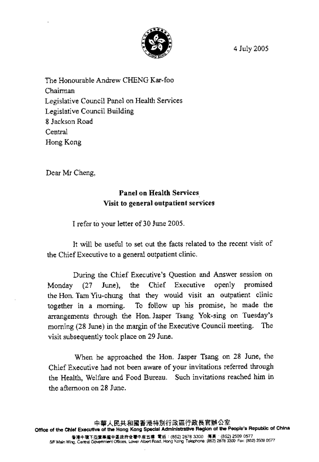

4 July 2005

The Honourable Andrew CHENG Kar-foo Chairman Legislative Council Panel on Health Services Legislative Council Building 8 Jackson Road Central Hong Kong

Dear Mr Cheng,

## **Panel on Health Services** Visit to general outpatient services

I refer to your letter of 30 June 2005.

It will be useful to set out the facts related to the recent visit of the Chief Executive to a general outpatient clinic.

During the Chief Executive's Question and Answer session on openly promised Monday (27 June). the Chief Executive the Hon. Tam Yiu-chung that they would visit an outpatient clinic together in a morning. To follow up his promise, he made the arrangements through the Hon. Jasper Tsang Yok-sing on Tuesday's morning (28 June) in the margin of the Executive Council meeting. The visit subsequently took place on 29 June.

When he approached the Hon. Jasper Tsang on 28 June, the Chief Executive had not been aware of your invitations referred through the Health, Welfare and Food Bureau. Such invitations reached him in the afternoon on 28 June.